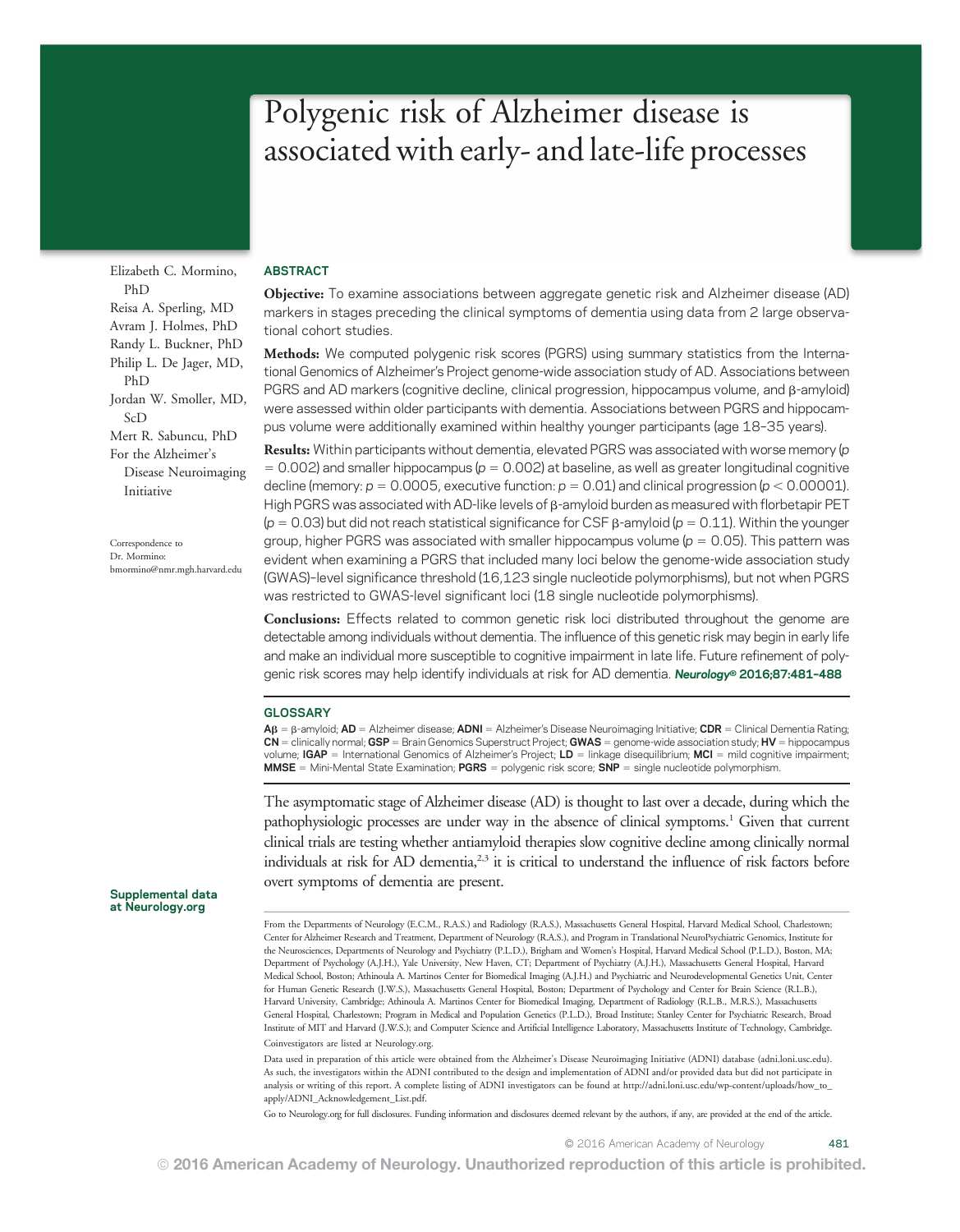# Polygenic risk of Alzheimer disease is associated with early- and late-life processes

Elizabeth C. Mormino, PhD Reisa A. Sperling, MD Avram J. Holmes, PhD Randy L. Buckner, PhD Philip L. De Jager, MD, PhD Jordan W. Smoller, MD, ScD Mert R. Sabuncu, PhD For the Alzheimer's Disease Neuroimaging Initiative

Correspondence to Dr. Mormino: [bmormino@nmr.mgh.harvard.edu](mailto:bmormino@nmr.mgh.harvard.edu)

Supplemental data at [Neurology.org](http://neurology.org/lookup/doi/10.1212/WNL.0000000000002922)

## ABSTRACT

Objective: To examine associations between aggregate genetic risk and Alzheimer disease (AD) markers in stages preceding the clinical symptoms of dementia using data from 2 large observational cohort studies.

Methods: We computed polygenic risk scores (PGRS) using summary statistics from the International Genomics of Alzheimer's Project genome-wide association study of AD. Associations between PGRS and AD markers (cognitive decline, clinical progression, hippocampus volume, and  $\beta$ -amyloid) were assessed within older participants with dementia. Associations between PGRS and hippocampus volume were additionally examined within healthy younger participants (age 18–35 years).

Results: Within participants without dementia, elevated PGRS was associated with worse memory (p  $= 0.002$ ) and smaller hippocampus ( $p = 0.002$ ) at baseline, as well as greater longitudinal cognitive decline (memory:  $p = 0.0005$ , executive function:  $p = 0.01$ ) and clinical progression ( $p < 0.00001$ ). High PGRS was associated with AD-like levels of  $\beta$ -amyloid burden as measured with florbetapir PET  $(p = 0.03)$  but did not reach statistical significance for CSF  $\beta$ -amyloid ( $p = 0.11$ ). Within the younger group, higher PGRS was associated with smaller hippocampus volume ( $p = 0.05$ ). This pattern was evident when examining a PGRS that included many loci below the genome-wide association study (GWAS)–level significance threshold (16,123 single nucleotide polymorphisms), but not when PGRS was restricted to GWAS-level significant loci (18 single nucleotide polymorphisms).

**Conclusions:** Effects related to common genetic risk loci distributed throughout the genome are detectable among individuals without dementia. The influence of this genetic risk may begin in early life and make an individual more susceptible to cognitive impairment in late life. Future refinement of polygenic risk scores may help identify individuals at risk for AD dementia. Neurology® 2016;87:481-488

### **GLOSSARY**

 $AB = \beta$ -amyloid; AD = Alzheimer disease; ADNI = Alzheimer's Disease Neuroimaging Initiative; CDR = Clinical Dementia Rating;  $CN =$  clinically normal;  $GSP =$  Brain Genomics Superstruct Project;  $GWAS =$  genome-wide association study;  $HV =$  hippocampus volume; IGAP = International Genomics of Alzheimer's Project; LD = linkage disequilibrium; MCI = mild cognitive impairment; MMSE = Mini-Mental State Examination; PGRS = polygenic risk score; SNP = single nucleotide polymorphism.

The asymptomatic stage of Alzheimer disease (AD) is thought to last over a decade, during which the pathophysiologic processes are under way in the absence of clinical symptoms.1 Given that current clinical trials are testing whether antiamyloid therapies slow cognitive decline among clinically normal individuals at risk for AD dementia,<sup>2,3</sup> it is critical to understand the influence of risk factors before overt symptoms of dementia are present.

From the Departments of Neurology (E.C.M., R.A.S.) and Radiology (R.A.S.), Massachusetts General Hospital, Harvard Medical School, Charlestown; Center for Alzheimer Research and Treatment, Department of Neurology (R.A.S.), and Program in Translational NeuroPsychiatric Genomics, Institute for the Neurosciences, Departments of Neurology and Psychiatry (P.L.D.), Brigham and Women's Hospital, Harvard Medical School (P.L.D.), Boston, MA; Department of Psychology (A.J.H.), Yale University, New Haven, CT; Department of Psychiatry (A.J.H.), Massachusetts General Hospital, Harvard Medical School, Boston; Athinoula A. Martinos Center for Biomedical Imaging (A.J.H.) and Psychiatric and Neurodevelopmental Genetics Unit, Center for Human Genetic Research (J.W.S.), Massachusetts General Hospital, Boston; Department of Psychology and Center for Brain Science (R.L.B.), Harvard University, Cambridge; Athinoula A. Martinos Center for Biomedical Imaging, Department of Radiology (R.L.B., M.R.S.), Massachusetts General Hospital, Charlestown; Program in Medical and Population Genetics (P.L.D.), Broad Institute; Stanley Center for Psychiatric Research, Broad Institute of MIT and Harvard (J.W.S.); and Computer Science and Artificial Intelligence Laboratory, Massachusetts Institute of Technology, Cambridge. Coinvestigators are listed at [Neurology.org](http://neurology.org/lookup/doi/10.1212/WNL.0000000000002922).

Data used in preparation of this article were obtained from the Alzheimer's Disease Neuroimaging Initiative (ADNI) database [\(adni.loni.usc.edu\)](http://adni.loni.usc.edu). As such, the investigators within the ADNI contributed to the design and implementation of ADNI and/or provided data but did not participate in analysis or writing of this report. A complete listing of ADNI investigators can be found at [http://adni.loni.usc.edu/wp-content/uploads/how\\_to\\_](http://adni.loni.usc.edu/wp-content/uploads/how_to_apply/ADNI_Acknowledgement_List.pdf) [apply/ADNI\\_Acknowledgement\\_List.pdf.](http://adni.loni.usc.edu/wp-content/uploads/how_to_apply/ADNI_Acknowledgement_List.pdf)

Go to [Neurology.org](http://neurology.org/lookup/doi/10.1212/WNL.0000000000002922) for full disclosures. Funding information and disclosures deemed relevant by the authors, if any, are provided at the end of the article.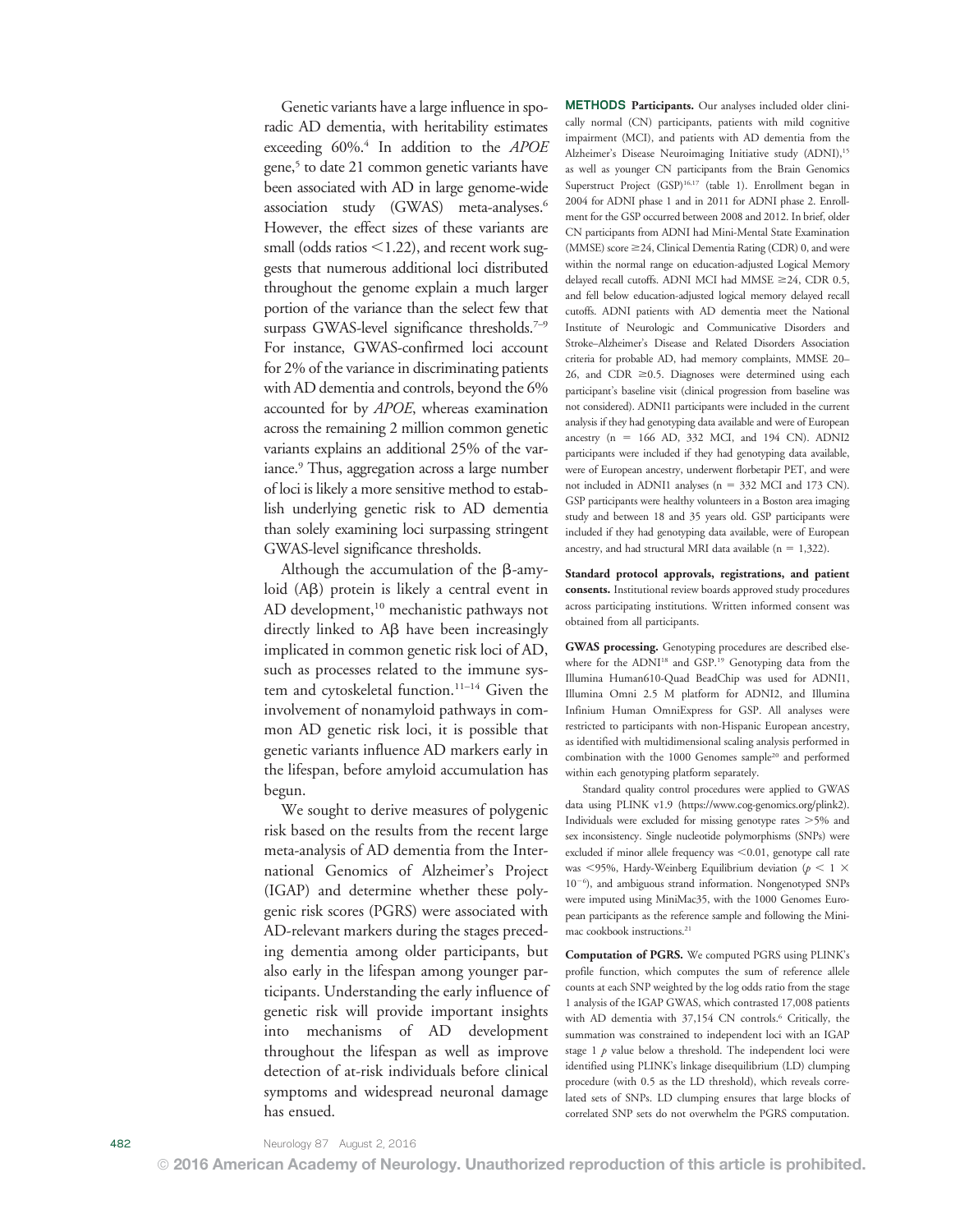Genetic variants have a large influence in sporadic AD dementia, with heritability estimates exceeding 60%.<sup>4</sup> In addition to the APOE gene,<sup>5</sup> to date 21 common genetic variants have been associated with AD in large genome-wide association study (GWAS) meta-analyses.<sup>6</sup> However, the effect sizes of these variants are small (odds ratios  $\leq$  1.22), and recent work suggests that numerous additional loci distributed throughout the genome explain a much larger portion of the variance than the select few that surpass GWAS-level significance thresholds.<sup>7-9</sup> For instance, GWAS-confirmed loci account for 2% of the variance in discriminating patients with AD dementia and controls, beyond the 6% accounted for by APOE, whereas examination across the remaining 2 million common genetic variants explains an additional 25% of the variance.<sup>9</sup> Thus, aggregation across a large number of loci is likely a more sensitive method to establish underlying genetic risk to AD dementia than solely examining loci surpassing stringent GWAS-level significance thresholds.

Although the accumulation of the  $\beta$ -amyloid  $(AB)$  protein is likely a central event in AD development,<sup>10</sup> mechanistic pathways not directly linked to  $\overrightarrow{AB}$  have been increasingly implicated in common genetic risk loci of AD, such as processes related to the immune system and cytoskeletal function.<sup>11-14</sup> Given the involvement of nonamyloid pathways in common AD genetic risk loci, it is possible that genetic variants influence AD markers early in the lifespan, before amyloid accumulation has begun.

We sought to derive measures of polygenic risk based on the results from the recent large meta-analysis of AD dementia from the International Genomics of Alzheimer's Project (IGAP) and determine whether these polygenic risk scores (PGRS) were associated with AD-relevant markers during the stages preceding dementia among older participants, but also early in the lifespan among younger participants. Understanding the early influence of genetic risk will provide important insights into mechanisms of AD development throughout the lifespan as well as improve detection of at-risk individuals before clinical symptoms and widespread neuronal damage has ensued.

METHODS Participants. Our analyses included older clinically normal (CN) participants, patients with mild cognitive impairment (MCI), and patients with AD dementia from the Alzheimer's Disease Neuroimaging Initiative study (ADNI),<sup>15</sup> as well as younger CN participants from the Brain Genomics Superstruct Project (GSP)<sup>16,17</sup> (table 1). Enrollment began in 2004 for ADNI phase 1 and in 2011 for ADNI phase 2. Enrollment for the GSP occurred between 2008 and 2012. In brief, older CN participants from ADNI had Mini-Mental State Examination (MMSE) score  $\geq$ 24, Clinical Dementia Rating (CDR) 0, and were within the normal range on education-adjusted Logical Memory delayed recall cutoffs. ADNI MCI had MMSE  $\geq$ 24, CDR 0.5, and fell below education-adjusted logical memory delayed recall cutoffs. ADNI patients with AD dementia meet the National Institute of Neurologic and Communicative Disorders and Stroke–Alzheimer's Disease and Related Disorders Association criteria for probable AD, had memory complaints, MMSE 20– 26, and CDR  $\geq$ 0.5. Diagnoses were determined using each participant's baseline visit (clinical progression from baseline was not considered). ADNI1 participants were included in the current analysis if they had genotyping data available and were of European ancestry  $(n = 166$  AD, 332 MCI, and 194 CN). ADNI2 participants were included if they had genotyping data available, were of European ancestry, underwent florbetapir PET, and were not included in ADNI1 analyses ( $n = 332$  MCI and 173 CN). GSP participants were healthy volunteers in a Boston area imaging study and between 18 and 35 years old. GSP participants were included if they had genotyping data available, were of European ancestry, and had structural MRI data available ( $n = 1,322$ ).

Standard protocol approvals, registrations, and patient consents. Institutional review boards approved study procedures across participating institutions. Written informed consent was obtained from all participants.

GWAS processing. Genotyping procedures are described elsewhere for the ADNI<sup>18</sup> and GSP.<sup>19</sup> Genotyping data from the Illumina Human610-Quad BeadChip was used for ADNI1, Illumina Omni 2.5 M platform for ADNI2, and Illumina Infinium Human OmniExpress for GSP. All analyses were restricted to participants with non-Hispanic European ancestry, as identified with multidimensional scaling analysis performed in combination with the 1000 Genomes sample<sup>20</sup> and performed within each genotyping platform separately.

Standard quality control procedures were applied to GWAS data using PLINK v1.9 [\(https://www.cog-genomics.org/plink2](https://www.cog-genomics.org/plink2)). Individuals were excluded for missing genotype rates  $>5\%$  and sex inconsistency. Single nucleotide polymorphisms (SNPs) were excluded if minor allele frequency was  $<$  0.01, genotype call rate was <95%, Hardy-Weinberg Equilibrium deviation ( $p < 1 \times$ 10<sup>-6</sup>), and ambiguous strand information. Nongenotyped SNPs were imputed using MiniMac35, with the 1000 Genomes European participants as the reference sample and following the Minimac cookbook instructions.<sup>21</sup>

Computation of PGRS. We computed PGRS using PLINK's profile function, which computes the sum of reference allele counts at each SNP weighted by the log odds ratio from the stage 1 analysis of the IGAP GWAS, which contrasted 17,008 patients with AD dementia with 37,154 CN controls.<sup>6</sup> Critically, the summation was constrained to independent loci with an IGAP stage  $1$   $p$  value below a threshold. The independent loci were identified using PLINK's linkage disequilibrium (LD) clumping procedure (with 0.5 as the LD threshold), which reveals correlated sets of SNPs. LD clumping ensures that large blocks of correlated SNP sets do not overwhelm the PGRS computation.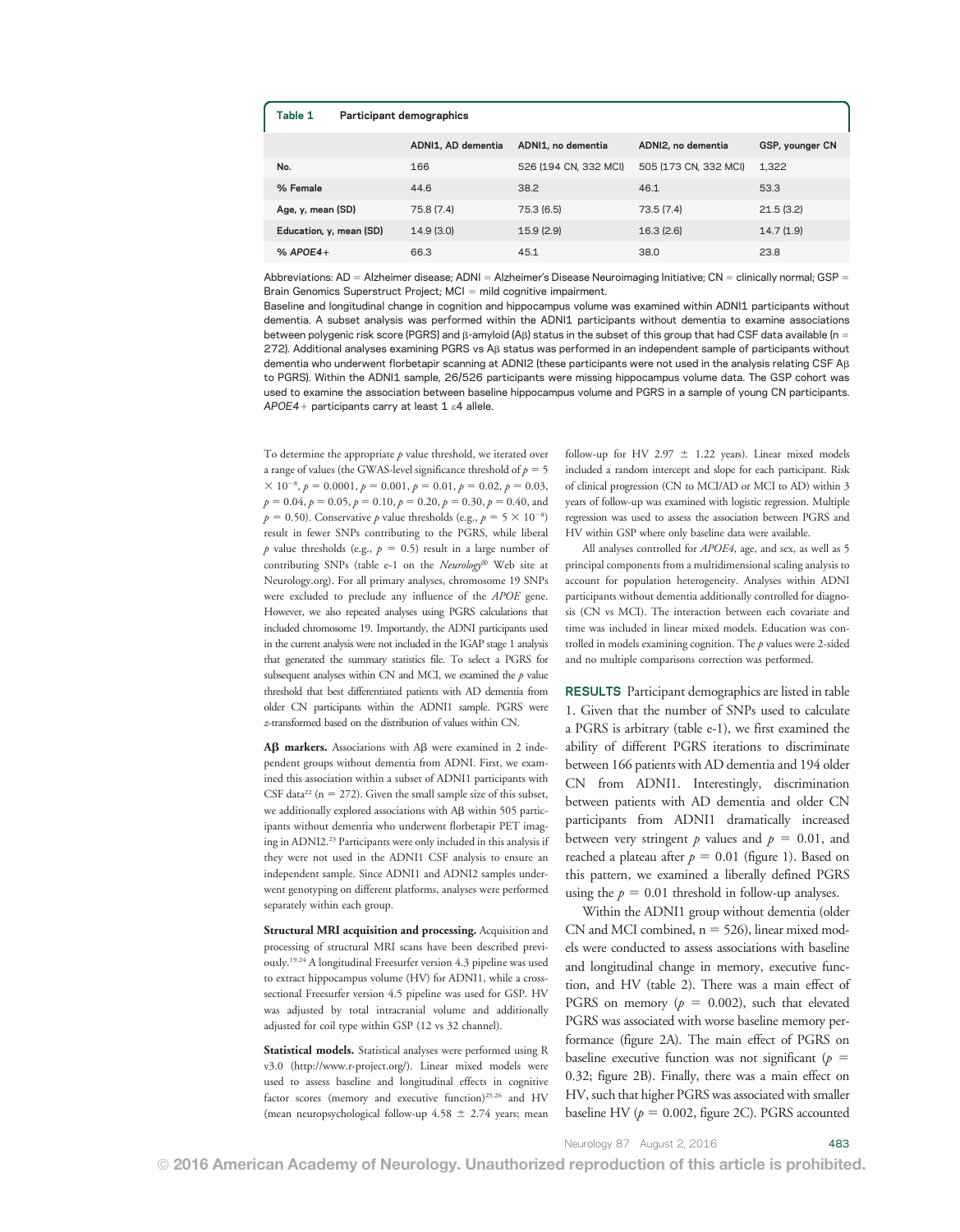| Table 1                 | Participant demographics |                       |                       |                 |  |
|-------------------------|--------------------------|-----------------------|-----------------------|-----------------|--|
|                         | ADNI1, AD dementia       | ADNI1, no dementia    | ADNI2, no dementia    | GSP, younger CN |  |
| No.                     | 166                      | 526 (194 CN, 332 MCI) | 505 (173 CN, 332 MCI) | 1,322           |  |
| % Female                | 44.6                     | 38.2                  | 46.1                  | 53.3            |  |
| Age, y, mean (SD)       | 75.8 (7.4)               | 75.3(6.5)             | 73.5(7.4)             | 21.5(3.2)       |  |
| Education, y, mean (SD) | 14.9(3.0)                | 15.9(2.9)             | 16.3(2.6)             | 14.7(1.9)       |  |
| $%$ APOE4+              | 66.3                     | 45.1                  | 38.0                  | 23.8            |  |

Abbreviations: AD = Alzheimer disease; ADNI = Alzheimer's Disease Neuroimaging Initiative; CN = clinically normal; GSP = Brain Genomics Superstruct Project; MCI = mild cognitive impairment.

Baseline and longitudinal change in cognition and hippocampus volume was examined within ADNI1 participants without dementia. A subset analysis was performed within the ADNI1 participants without dementia to examine associations between polygenic risk score (PGRS) and  $\beta$ -amyloid (A $\beta$ ) status in the subset of this group that had CSF data available (n = 272). Additional analyses examining PGRS vs A $\beta$  status was performed in an independent sample of participants without dementia who underwent florbetapir scanning at ADNI2 (these participants were not used in the analysis relating CSF Ab to PGRS). Within the ADNI1 sample, 26/526 participants were missing hippocampus volume data. The GSP cohort was used to examine the association between baseline hippocampus volume and PGRS in a sample of young CN participants. APOE4+ participants carry at least 1  $\varepsilon$ 4 allele.

To determine the appropriate  $p$  value threshold, we iterated over a range of values (the GWAS-level significance threshold of  $p = 5$  $\times$  10<sup>-8</sup>,  $p = 0.0001$ ,  $p = 0.001$ ,  $p = 0.01$ ,  $p = 0.02$ ,  $p = 0.03$ ,  $p = 0.04$ ,  $p = 0.05$ ,  $p = 0.10$ ,  $p = 0.20$ ,  $p = 0.30$ ,  $p = 0.40$ , and  $p = 0.50$ ). Conservative p value thresholds (e.g.,  $p = 5 \times 10^{-8}$ ) result in fewer SNPs contributing to the PGRS, while liberal p value thresholds (e.g.,  $p = 0.5$ ) result in a large number of contributing SNPs (table e-1 on the Neurology® Web site at [Neurology.org\)](http://neurology.org/lookup/doi/10.1212/WNL.0000000000002922). For all primary analyses, chromosome 19 SNPs were excluded to preclude any influence of the APOE gene. However, we also repeated analyses using PGRS calculations that included chromosome 19. Importantly, the ADNI participants used in the current analysis were not included in the IGAP stage 1 analysis that generated the summary statistics file. To select a PGRS for subsequent analyses within CN and MCI, we examined the  $p$  value threshold that best differentiated patients with AD dementia from older CN participants within the ADNI1 sample. PGRS were z-transformed based on the distribution of values within CN.

 $\mathbf{A}\mathbf{\beta}$  markers. Associations with  $\mathbf{A}\mathbf{\beta}$  were examined in 2 independent groups without dementia from ADNI. First, we examined this association within a subset of ADNI1 participants with CSF data<sup>22</sup> ( $n = 272$ ). Given the small sample size of this subset, we additionally explored associations with  $\text{A}\beta$  within 505 participants without dementia who underwent florbetapir PET imaging in ADNI2.23 Participants were only included in this analysis if they were not used in the ADNI1 CSF analysis to ensure an independent sample. Since ADNI1 and ADNI2 samples underwent genotyping on different platforms, analyses were performed separately within each group.

Structural MRI acquisition and processing. Acquisition and processing of structural MRI scans have been described previously.19,24 A longitudinal Freesurfer version 4.3 pipeline was used to extract hippocampus volume (HV) for ADNI1, while a crosssectional Freesurfer version 4.5 pipeline was used for GSP. HV was adjusted by total intracranial volume and additionally adjusted for coil type within GSP (12 vs 32 channel).

Statistical models. Statistical analyses were performed using R v3.0 [\(http://www.r-project.org/](http://www.r-project.org/)). Linear mixed models were used to assess baseline and longitudinal effects in cognitive factor scores (memory and executive function)<sup>25,26</sup> and HV (mean neuropsychological follow-up  $4.58 \pm 2.74$  years; mean

follow-up for HV 2.97  $\pm$  1.22 years). Linear mixed models included a random intercept and slope for each participant. Risk of clinical progression (CN to MCI/AD or MCI to AD) within 3 years of follow-up was examined with logistic regression. Multiple regression was used to assess the association between PGRS and HV within GSP where only baseline data were available.

All analyses controlled for APOE4, age, and sex, as well as 5 principal components from a multidimensional scaling analysis to account for population heterogeneity. Analyses within ADNI participants without dementia additionally controlled for diagnosis (CN vs MCI). The interaction between each covariate and time was included in linear mixed models. Education was controlled in models examining cognition. The  $p$  values were 2-sided and no multiple comparisons correction was performed.

RESULTS Participant demographics are listed in table 1. Given that the number of SNPs used to calculate a PGRS is arbitrary (table e-1), we first examined the ability of different PGRS iterations to discriminate between 166 patients with AD dementia and 194 older CN from ADNI1. Interestingly, discrimination between patients with AD dementia and older CN participants from ADNI1 dramatically increased between very stringent  $p$  values and  $p = 0.01$ , and reached a plateau after  $p = 0.01$  (figure 1). Based on this pattern, we examined a liberally defined PGRS using the  $p = 0.01$  threshold in follow-up analyses.

Within the ADNI1 group without dementia (older CN and MCI combined,  $n = 526$ ), linear mixed models were conducted to assess associations with baseline and longitudinal change in memory, executive function, and HV (table 2). There was a main effect of PGRS on memory ( $p = 0.002$ ), such that elevated PGRS was associated with worse baseline memory performance (figure 2A). The main effect of PGRS on baseline executive function was not significant ( $p =$ 0.32; figure 2B). Finally, there was a main effect on HV, such that higher PGRS was associated with smaller baseline HV ( $p = 0.002$ , figure 2C). PGRS accounted

Neurology 87 August 2, 2016 483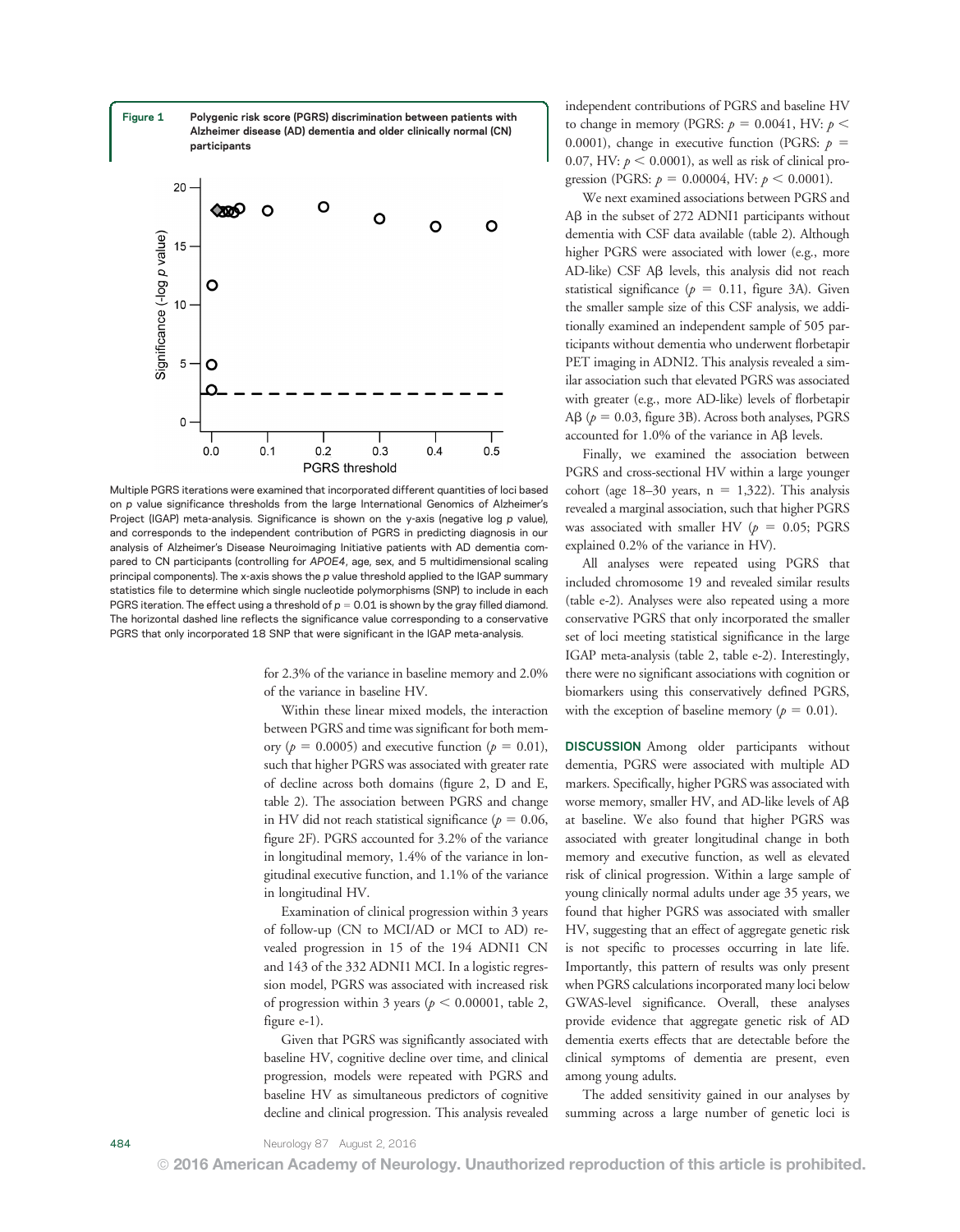Figure 1 Polygenic risk score (PGRS) discrimination between patients with Alzheimer disease (AD) dementia and older clinically normal (CN) participants



Multiple PGRS iterations were examined that incorporated different quantities of loci based on p value significance thresholds from the large International Genomics of Alzheimer's Project (IGAP) meta-analysis. Significance is shown on the y-axis (negative log p value), and corresponds to the independent contribution of PGRS in predicting diagnosis in our analysis of Alzheimer's Disease Neuroimaging Initiative patients with AD dementia compared to CN participants (controlling for APOE4, age, sex, and 5 multidimensional scaling principal components). The x-axis shows the p value threshold applied to the IGAP summary statistics file to determine which single nucleotide polymorphisms (SNP) to include in each PGRS iteration. The effect using a threshold of  $p = 0.01$  is shown by the gray filled diamond. The horizontal dashed line reflects the significance value corresponding to a conservative PGRS that only incorporated 18 SNP that were significant in the IGAP meta-analysis.

for 2.3% of the variance in baseline memory and 2.0% of the variance in baseline HV.

Within these linear mixed models, the interaction between PGRS and time was significant for both memory ( $p = 0.0005$ ) and executive function ( $p = 0.01$ ), such that higher PGRS was associated with greater rate of decline across both domains (figure 2, D and E, table 2). The association between PGRS and change in HV did not reach statistical significance ( $p = 0.06$ , figure 2F). PGRS accounted for 3.2% of the variance in longitudinal memory, 1.4% of the variance in longitudinal executive function, and 1.1% of the variance in longitudinal HV.

Examination of clinical progression within 3 years of follow-up (CN to MCI/AD or MCI to AD) revealed progression in 15 of the 194 ADNI1 CN and 143 of the 332 ADNI1 MCI. In a logistic regression model, PGRS was associated with increased risk of progression within 3 years ( $p < 0.00001$ , table 2, figure e-1).

Given that PGRS was significantly associated with baseline HV, cognitive decline over time, and clinical progression, models were repeated with PGRS and baseline HV as simultaneous predictors of cognitive decline and clinical progression. This analysis revealed independent contributions of PGRS and baseline HV to change in memory (PGRS:  $p = 0.0041$ , HV:  $p <$ 0.0001), change in executive function (PGRS:  $p =$ 0.07, HV:  $p < 0.0001$ ), as well as risk of clinical progression (PGRS:  $p = 0.00004$ , HV:  $p < 0.0001$ ).

We next examined associations between PGRS and  $\text{AB}$  in the subset of 272 ADNI1 participants without dementia with CSF data available (table 2). Although higher PGRS were associated with lower (e.g., more AD-like) CSF  $\overrightarrow{AB}$  levels, this analysis did not reach statistical significance ( $p = 0.11$ , figure 3A). Given the smaller sample size of this CSF analysis, we additionally examined an independent sample of 505 participants without dementia who underwent florbetapir PET imaging in ADNI2. This analysis revealed a similar association such that elevated PGRS was associated with greater (e.g., more AD-like) levels of florbetapir  $AB (p = 0.03, figure 3B)$ . Across both analyses, PGRS accounted for  $1.0\%$  of the variance in A $\beta$  levels.

Finally, we examined the association between PGRS and cross-sectional HV within a large younger cohort (age 18–30 years,  $n = 1,322$ ). This analysis revealed a marginal association, such that higher PGRS was associated with smaller HV ( $p = 0.05$ ; PGRS explained 0.2% of the variance in HV).

All analyses were repeated using PGRS that included chromosome 19 and revealed similar results (table e-2). Analyses were also repeated using a more conservative PGRS that only incorporated the smaller set of loci meeting statistical significance in the large IGAP meta-analysis (table 2, table e-2). Interestingly, there were no significant associations with cognition or biomarkers using this conservatively defined PGRS, with the exception of baseline memory ( $p = 0.01$ ).

DISCUSSION Among older participants without dementia, PGRS were associated with multiple AD markers. Specifically, higher PGRS was associated with worse memory, smaller HV, and AD-like levels of  $\text{A}\beta$ at baseline. We also found that higher PGRS was associated with greater longitudinal change in both memory and executive function, as well as elevated risk of clinical progression. Within a large sample of young clinically normal adults under age 35 years, we found that higher PGRS was associated with smaller HV, suggesting that an effect of aggregate genetic risk is not specific to processes occurring in late life. Importantly, this pattern of results was only present when PGRS calculations incorporated many loci below GWAS-level significance. Overall, these analyses provide evidence that aggregate genetic risk of AD dementia exerts effects that are detectable before the clinical symptoms of dementia are present, even among young adults.

The added sensitivity gained in our analyses by summing across a large number of genetic loci is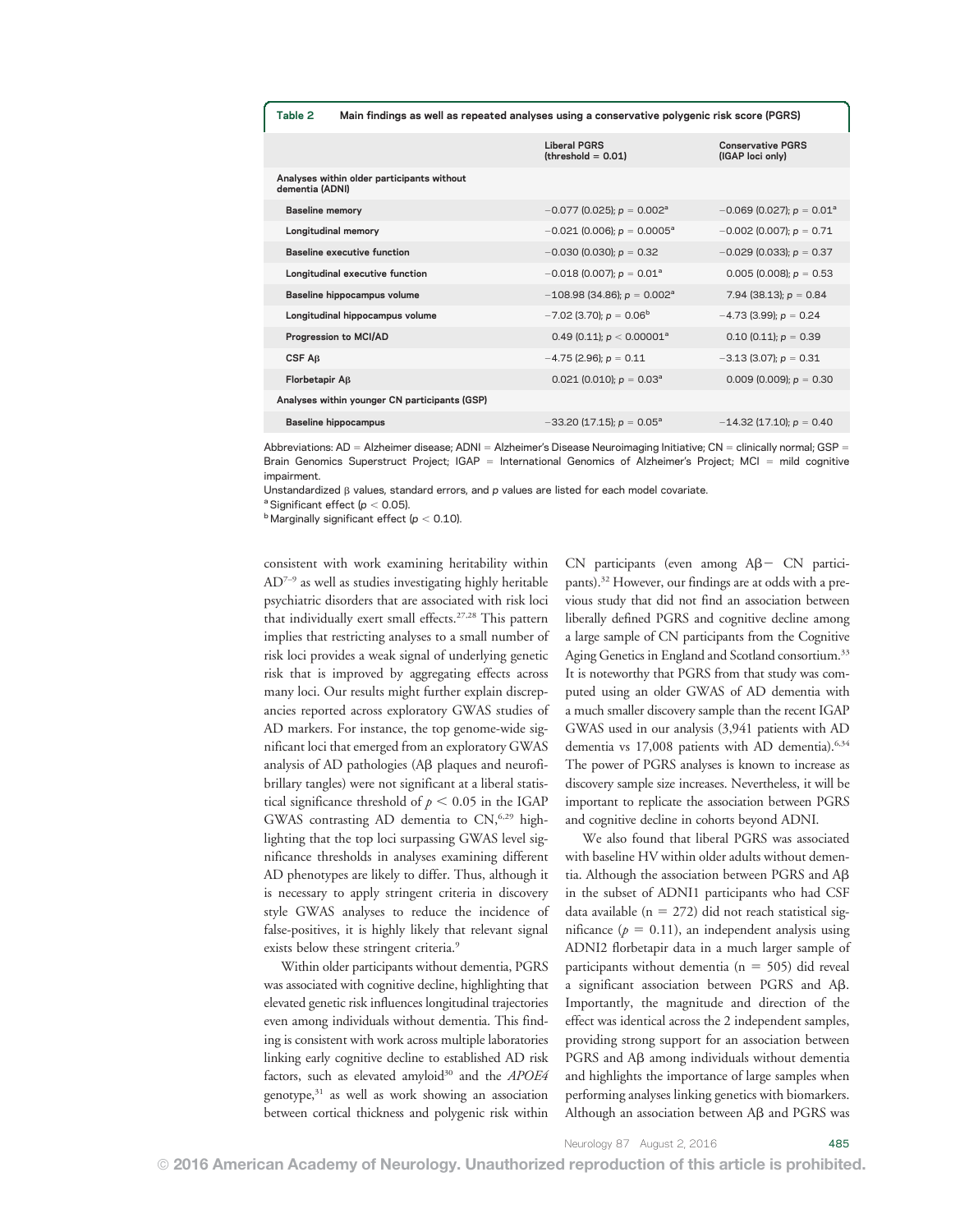|                                                               | Table 2              | Main findings as well as repeated analyses using a conservative polygenic risk score (PGRS) |                                             |                                              |  |  |
|---------------------------------------------------------------|----------------------|---------------------------------------------------------------------------------------------|---------------------------------------------|----------------------------------------------|--|--|
|                                                               |                      |                                                                                             | <b>Liberal PGRS</b><br>$(threshold = 0.01)$ | <b>Conservative PGRS</b><br>(IGAP loci only) |  |  |
| Analyses within older participants without<br>dementia (ADNI) |                      |                                                                                             |                                             |                                              |  |  |
| <b>Baseline memory</b>                                        |                      |                                                                                             | $-0.077$ (0.025); p = 0.002 <sup>a</sup>    | $-0.069$ (0.027); p = 0.01 <sup>a</sup>      |  |  |
|                                                               | Longitudinal memory  |                                                                                             | $-0.021$ (0.006); p = 0.0005 <sup>a</sup>   | $-0.002$ (0.007); $p = 0.71$                 |  |  |
|                                                               |                      | <b>Baseline executive function</b>                                                          | $-0.030$ (0.030); $p = 0.32$                | $-0.029$ (0.033); $p = 0.37$                 |  |  |
|                                                               |                      | Longitudinal executive function                                                             | $-0.018$ (0.007); $p = 0.01^a$              | $0.005$ (0.008); $p = 0.53$                  |  |  |
|                                                               |                      | Baseline hippocampus volume                                                                 | $-108.98$ (34.86); p = 0.002 <sup>a</sup>   | 7.94 (38.13); $p = 0.84$                     |  |  |
|                                                               |                      | Longitudinal hippocampus volume                                                             | $-7.02$ (3.70); $p = 0.06b$                 | $-4.73$ (3.99); $p = 0.24$                   |  |  |
|                                                               |                      | Progression to MCI/AD                                                                       | 0.49 (0.11); $p < 0.00001^a$                | $0.10$ (0.11); $p = 0.39$                    |  |  |
|                                                               | CSFAB                |                                                                                             | $-4.75$ (2.96); $p = 0.11$                  | $-3.13$ (3.07); $p = 0.31$                   |  |  |
|                                                               | Florbetapir $A\beta$ |                                                                                             | 0.021 (0.010); $p = 0.03^a$                 | $0.009$ (0.009); $p = 0.30$                  |  |  |
| Analyses within younger CN participants (GSP)                 |                      |                                                                                             |                                             |                                              |  |  |
|                                                               |                      | <b>Baseline hippocampus</b>                                                                 | $-33.20$ (17.15); $p = 0.05^{\circ}$        | $-14.32$ (17.10); $p = 0.40$                 |  |  |
|                                                               |                      |                                                                                             |                                             |                                              |  |  |

Abbreviations: AD = Alzheimer disease; ADNI = Alzheimer's Disease Neuroimaging Initiative; CN = clinically normal; GSP = Brain Genomics Superstruct Project; IGAP = International Genomics of Alzheimer's Project; MCI = mild cognitive impairment.

Unstandardized  $\beta$  values, standard errors, and p values are listed for each model covariate.

<sup>a</sup> Significant effect ( $p < 0.05$ ).

 $b$  Marginally significant effect ( $p < 0.10$ ).

consistent with work examining heritability within AD7–<sup>9</sup> as well as studies investigating highly heritable psychiatric disorders that are associated with risk loci that individually exert small effects.27,28 This pattern implies that restricting analyses to a small number of risk loci provides a weak signal of underlying genetic risk that is improved by aggregating effects across many loci. Our results might further explain discrepancies reported across exploratory GWAS studies of AD markers. For instance, the top genome-wide significant loci that emerged from an exploratory GWAS analysis of AD pathologies  $(AB)$  plaques and neurofibrillary tangles) were not significant at a liberal statistical significance threshold of  $p < 0.05$  in the IGAP GWAS contrasting AD dementia to CN,<sup>6,29</sup> highlighting that the top loci surpassing GWAS level significance thresholds in analyses examining different AD phenotypes are likely to differ. Thus, although it is necessary to apply stringent criteria in discovery style GWAS analyses to reduce the incidence of false-positives, it is highly likely that relevant signal exists below these stringent criteria.<sup>9</sup>

Within older participants without dementia, PGRS was associated with cognitive decline, highlighting that elevated genetic risk influences longitudinal trajectories even among individuals without dementia. This finding is consistent with work across multiple laboratories linking early cognitive decline to established AD risk factors, such as elevated amyloid<sup>30</sup> and the APOE4 genotype, $31$  as well as work showing an association between cortical thickness and polygenic risk within  $CN$  participants (even among  $AB - CN$  participants).32 However, our findings are at odds with a previous study that did not find an association between liberally defined PGRS and cognitive decline among a large sample of CN participants from the Cognitive Aging Genetics in England and Scotland consortium.<sup>33</sup> It is noteworthy that PGRS from that study was computed using an older GWAS of AD dementia with a much smaller discovery sample than the recent IGAP GWAS used in our analysis (3,941 patients with AD dementia vs 17,008 patients with AD dementia).<sup>6,34</sup> The power of PGRS analyses is known to increase as discovery sample size increases. Nevertheless, it will be important to replicate the association between PGRS and cognitive decline in cohorts beyond ADNI.

We also found that liberal PGRS was associated with baseline HV within older adults without dementia. Although the association between PGRS and  $A\beta$ in the subset of ADNI1 participants who had CSF data available ( $n = 272$ ) did not reach statistical significance ( $p = 0.11$ ), an independent analysis using ADNI2 florbetapir data in a much larger sample of participants without dementia ( $n = 505$ ) did reveal a significant association between PGRS and Ab. Importantly, the magnitude and direction of the effect was identical across the 2 independent samples, providing strong support for an association between PGRS and Aß among individuals without dementia and highlights the importance of large samples when performing analyses linking genetics with biomarkers. Although an association between  $\overrightarrow{AB}$  and PGRS was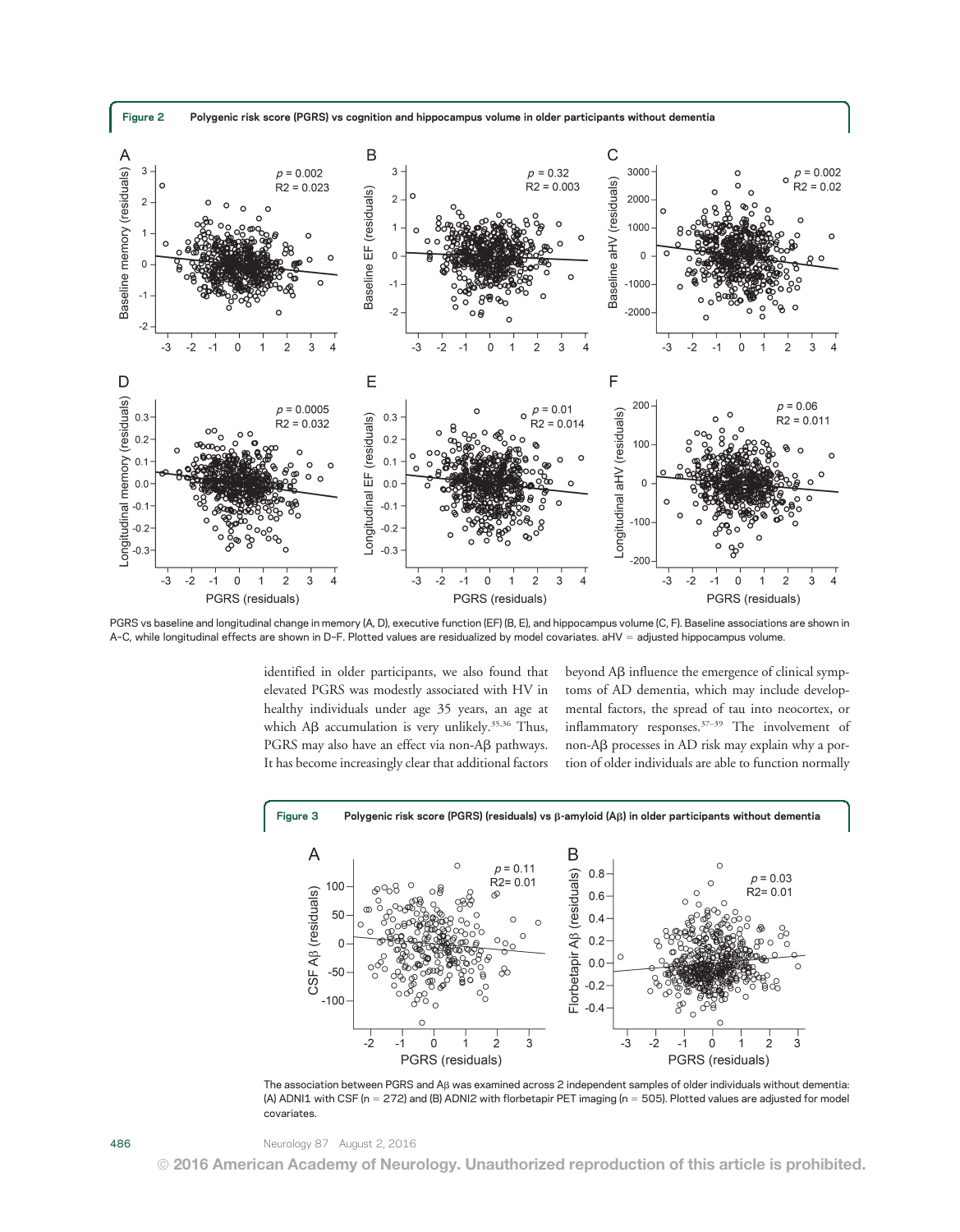



PGRS vs baseline and longitudinal change in memory (A, D), executive function (EF) (B, E), and hippocampus volume (C, F). Baseline associations are shown in A-C, while longitudinal effects are shown in D-F. Plotted values are residualized by model covariates. aHV = adjusted hippocampus volume.

identified in older participants, we also found that elevated PGRS was modestly associated with HV in healthy individuals under age 35 years, an age at which A $\beta$  accumulation is very unlikely.<sup>35,36</sup> Thus, PGRS may also have an effect via non-A $\beta$  pathways. It has become increasingly clear that additional factors beyond Ab influence the emergence of clinical symptoms of AD dementia, which may include developmental factors, the spread of tau into neocortex, or inflammatory responses.37–<sup>39</sup> The involvement of non-A $\beta$  processes in AD risk may explain why a portion of older individuals are able to function normally



The association between PGRS and A $\beta$  was examined across 2 independent samples of older individuals without dementia: (A) ADNI1 with CSF (n = 272) and (B) ADNI2 with florbetapir PET imaging (n = 505). Plotted values are adjusted for model covariates.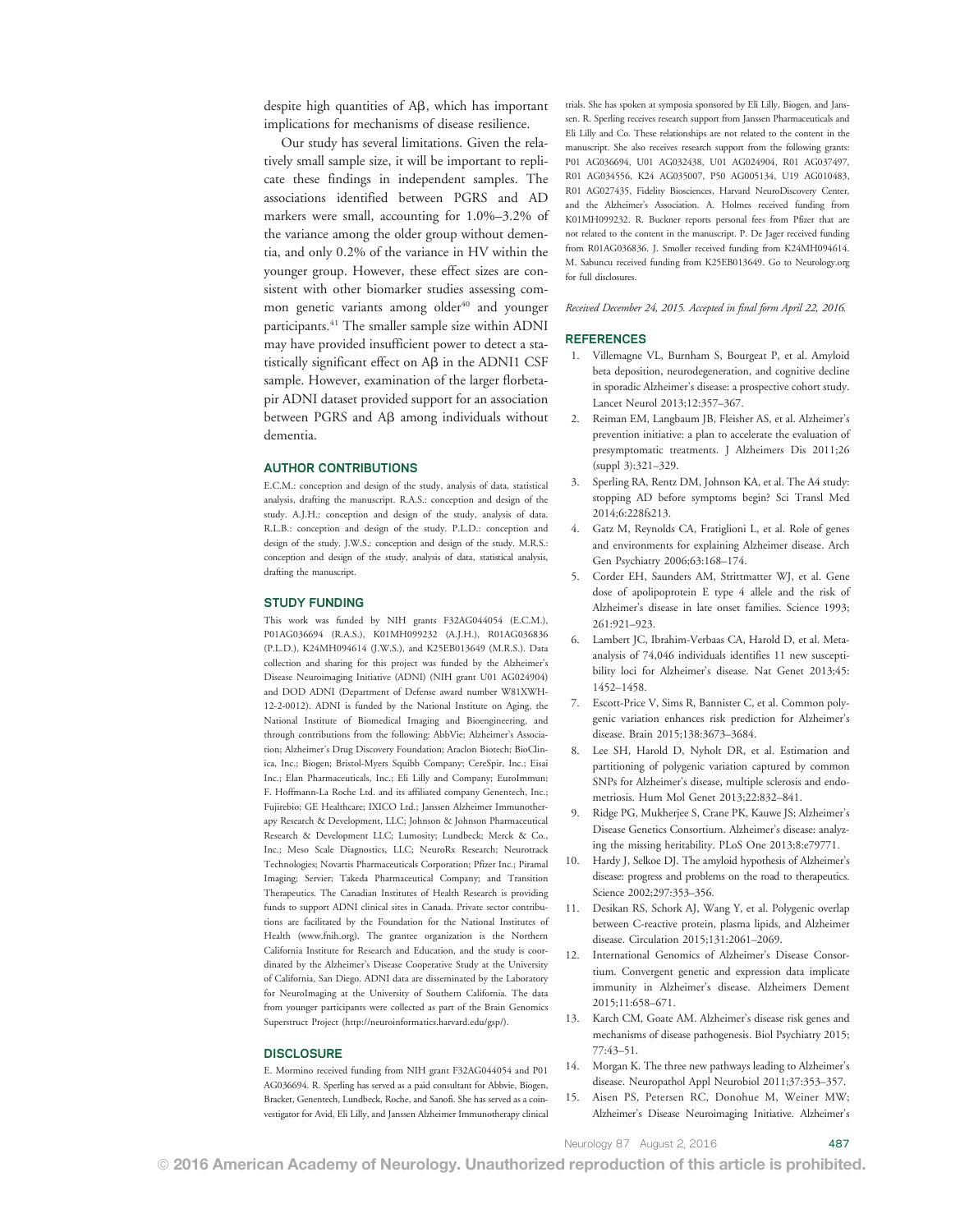despite high quantities of  $\text{AB}$ , which has important implications for mechanisms of disease resilience.

Our study has several limitations. Given the relatively small sample size, it will be important to replicate these findings in independent samples. The associations identified between PGRS and AD markers were small, accounting for 1.0%–3.2% of the variance among the older group without dementia, and only 0.2% of the variance in HV within the younger group. However, these effect sizes are consistent with other biomarker studies assessing common genetic variants among older<sup>40</sup> and younger participants.<sup>41</sup> The smaller sample size within ADNI may have provided insufficient power to detect a statistically significant effect on  $\overrightarrow{AB}$  in the ADNI1 CSF sample. However, examination of the larger florbetapir ADNI dataset provided support for an association between PGRS and  $\overrightarrow{AB}$  among individuals without dementia.

#### AUTHOR CONTRIBUTIONS

E.C.M.: conception and design of the study, analysis of data, statistical analysis, drafting the manuscript. R.A.S.: conception and design of the study. A.J.H.: conception and design of the study, analysis of data. R.L.B.: conception and design of the study. P.L.D.: conception and design of the study. J.W.S.: conception and design of the study. M.R.S.: conception and design of the study, analysis of data, statistical analysis, drafting the manuscript.

#### STUDY FUNDING

This work was funded by NIH grants F32AG044054 (E.C.M.), P01AG036694 (R.A.S.), K01MH099232 (A.J.H.), R01AG036836 (P.L.D.), K24MH094614 (J.W.S.), and K25EB013649 (M.R.S.). Data collection and sharing for this project was funded by the Alzheimer's Disease Neuroimaging Initiative (ADNI) (NIH grant U01 AG024904) and DOD ADNI (Department of Defense award number W81XWH-12-2-0012). ADNI is funded by the National Institute on Aging, the National Institute of Biomedical Imaging and Bioengineering, and through contributions from the following: AbbVie; Alzheimer's Association; Alzheimer's Drug Discovery Foundation; Araclon Biotech; BioClinica, Inc.; Biogen; Bristol-Myers Squibb Company; CereSpir, Inc.; Eisai Inc.; Elan Pharmaceuticals, Inc.; Eli Lilly and Company; EuroImmun; F. Hoffmann-La Roche Ltd. and its affiliated company Genentech, Inc.; Fujirebio; GE Healthcare; IXICO Ltd.; Janssen Alzheimer Immunotherapy Research & Development, LLC; Johnson & Johnson Pharmaceutical Research & Development LLC; Lumosity; Lundbeck; Merck & Co., Inc.; Meso Scale Diagnostics, LLC; NeuroRx Research; Neurotrack Technologies; Novartis Pharmaceuticals Corporation; Pfizer Inc.; Piramal Imaging; Servier; Takeda Pharmaceutical Company; and Transition Therapeutics. The Canadian Institutes of Health Research is providing funds to support ADNI clinical sites in Canada. Private sector contributions are facilitated by the Foundation for the National Institutes of Health ([www.fnih.org\)](http://www.fnih.org). The grantee organization is the Northern California Institute for Research and Education, and the study is coordinated by the Alzheimer's Disease Cooperative Study at the University of California, San Diego. ADNI data are disseminated by the Laboratory for NeuroImaging at the University of Southern California. The data from younger participants were collected as part of the Brain Genomics Superstruct Project (<http://neuroinformatics.harvard.edu/gsp/>).

#### **DISCLOSURE**

E. Mormino received funding from NIH grant F32AG044054 and P01 AG036694. R. Sperling has served as a paid consultant for Abbvie, Biogen, Bracket, Genentech, Lundbeck, Roche, and Sanofi. She has served as a coinvestigator for Avid, Eli Lilly, and Janssen Alzheimer Immunotherapy clinical trials. She has spoken at symposia sponsored by Eli Lilly, Biogen, and Janssen. R. Sperling receives research support from Janssen Pharmaceuticals and Eli Lilly and Co. These relationships are not related to the content in the manuscript. She also receives research support from the following grants: P01 AG036694, U01 AG032438, U01 AG024904, R01 AG037497, R01 AG034556, K24 AG035007, P50 AG005134, U19 AG010483, R01 AG027435, Fidelity Biosciences, Harvard NeuroDiscovery Center, and the Alzheimer's Association. A. Holmes received funding from K01MH099232. R. Buckner reports personal fees from Pfizer that are not related to the content in the manuscript. P. De Jager received funding from R01AG036836. J. Smoller received funding from K24MH094614. M. Sabuncu received funding from K25EB013649. Go to [Neurology.org](http://neurology.org/lookup/doi/10.1212/WNL.0000000000002922) for full disclosures.

Received December 24, 2015. Accepted in final form April 22, 2016.

#### **REFERENCES**

- 1. Villemagne VL, Burnham S, Bourgeat P, et al. Amyloid beta deposition, neurodegeneration, and cognitive decline in sporadic Alzheimer's disease: a prospective cohort study. Lancet Neurol 2013;12:357–367.
- 2. Reiman EM, Langbaum JB, Fleisher AS, et al. Alzheimer's prevention initiative: a plan to accelerate the evaluation of presymptomatic treatments. J Alzheimers Dis 2011;26 (suppl 3):321–329.
- 3. Sperling RA, Rentz DM, Johnson KA, et al. The A4 study: stopping AD before symptoms begin? Sci Transl Med 2014;6:228fs213.
- 4. Gatz M, Reynolds CA, Fratiglioni L, et al. Role of genes and environments for explaining Alzheimer disease. Arch Gen Psychiatry 2006;63:168–174.
- 5. Corder EH, Saunders AM, Strittmatter WJ, et al. Gene dose of apolipoprotein E type 4 allele and the risk of Alzheimer's disease in late onset families. Science 1993; 261:921–923.
- 6. Lambert JC, Ibrahim-Verbaas CA, Harold D, et al. Metaanalysis of 74,046 individuals identifies 11 new susceptibility loci for Alzheimer's disease. Nat Genet 2013;45: 1452–1458.
- 7. Escott-Price V, Sims R, Bannister C, et al. Common polygenic variation enhances risk prediction for Alzheimer's disease. Brain 2015;138:3673–3684.
- 8. Lee SH, Harold D, Nyholt DR, et al. Estimation and partitioning of polygenic variation captured by common SNPs for Alzheimer's disease, multiple sclerosis and endometriosis. Hum Mol Genet 2013;22:832–841.
- 9. Ridge PG, Mukherjee S, Crane PK, Kauwe JS; Alzheimer's Disease Genetics Consortium. Alzheimer's disease: analyzing the missing heritability. PLoS One 2013;8:e79771.
- 10. Hardy J, Selkoe DJ. The amyloid hypothesis of Alzheimer's disease: progress and problems on the road to therapeutics. Science 2002;297:353–356.
- 11. Desikan RS, Schork AJ, Wang Y, et al. Polygenic overlap between C-reactive protein, plasma lipids, and Alzheimer disease. Circulation 2015;131:2061–2069.
- 12. International Genomics of Alzheimer's Disease Consortium. Convergent genetic and expression data implicate immunity in Alzheimer's disease. Alzheimers Dement 2015;11:658–671.
- 13. Karch CM, Goate AM. Alzheimer's disease risk genes and mechanisms of disease pathogenesis. Biol Psychiatry 2015; 77:43–51.
- 14. Morgan K. The three new pathways leading to Alzheimer's disease. Neuropathol Appl Neurobiol 2011;37:353–357.
- 15. Aisen PS, Petersen RC, Donohue M, Weiner MW; Alzheimer's Disease Neuroimaging Initiative. Alzheimer's

Neurology 87 August 2, 2016 487